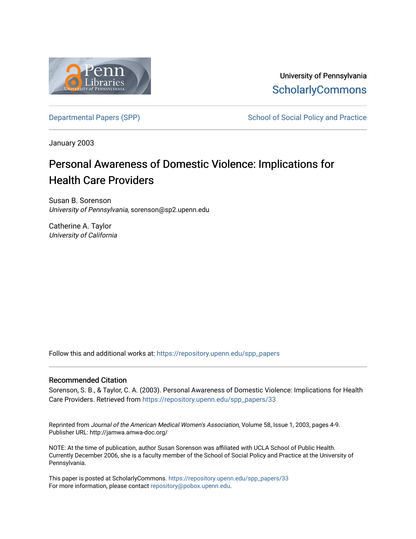

University of Pennsylvania **ScholarlyCommons** 

[Departmental Papers \(SPP\)](https://repository.upenn.edu/spp_papers) School of Social Policy and Practice

January 2003

# Personal Awareness of Domestic Violence: Implications for Health Care Providers

Susan B. Sorenson University of Pennsylvania, sorenson@sp2.upenn.edu

Catherine A. Taylor University of California

Follow this and additional works at: [https://repository.upenn.edu/spp\\_papers](https://repository.upenn.edu/spp_papers?utm_source=repository.upenn.edu%2Fspp_papers%2F33&utm_medium=PDF&utm_campaign=PDFCoverPages) 

## Recommended Citation

Sorenson, S. B., & Taylor, C. A. (2003). Personal Awareness of Domestic Violence: Implications for Health Care Providers. Retrieved from [https://repository.upenn.edu/spp\\_papers/33](https://repository.upenn.edu/spp_papers/33?utm_source=repository.upenn.edu%2Fspp_papers%2F33&utm_medium=PDF&utm_campaign=PDFCoverPages)

Reprinted from Journal of the American Medical Women's Association, Volume 58, Issue 1, 2003, pages 4-9. Publisher URL: http://jamwa.amwa-doc.org/

NOTE: At the time of publication, author Susan Sorenson was affiliated with UCLA School of Public Health. Currently December 2006, she is a faculty member of the School of Social Policy and Practice at the University of Pennsylvania.

This paper is posted at ScholarlyCommons. [https://repository.upenn.edu/spp\\_papers/33](https://repository.upenn.edu/spp_papers/33)  For more information, please contact [repository@pobox.upenn.edu.](mailto:repository@pobox.upenn.edu)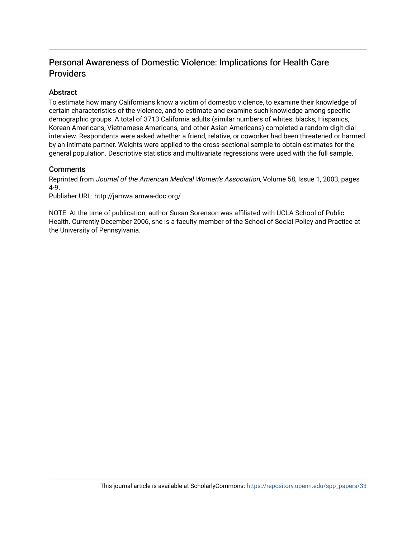# Personal Awareness of Domestic Violence: Implications for Health Care **Providers**

## **Abstract**

To estimate how many Californians know a victim of domestic violence, to examine their knowledge of certain characteristics of the violence, and to estimate and examine such knowledge among specific demographic groups. A total of 3713 California adults (similar numbers of whites, blacks, Hispanics, Korean Americans, Vietnamese Americans, and other Asian Americans) completed a random-digit-dial interview. Respondents were asked whether a friend, relative, or coworker had been threatened or harmed by an intimate partner. Weights were applied to the cross-sectional sample to obtain estimates for the general population. Descriptive statistics and multivariate regressions were used with the full sample.

## **Comments**

Reprinted from Journal of the American Medical Women's Association, Volume 58, Issue 1, 2003, pages 4-9.

Publisher URL: http://jamwa.amwa-doc.org/

NOTE: At the time of publication, author Susan Sorenson was affiliated with UCLA School of Public Health. Currently December 2006, she is a faculty member of the School of Social Policy and Practice at the University of Pennsylvania.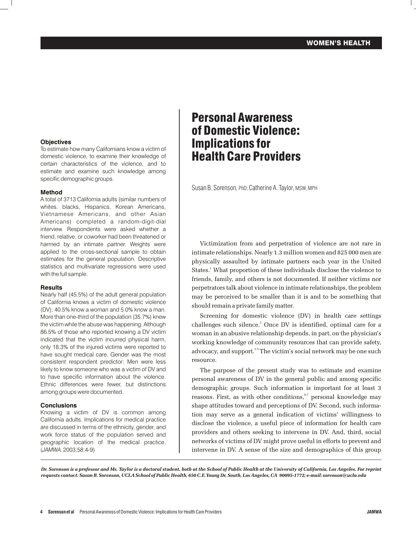#### **Objectives**

To estimate how many Californians know a victim of domestic violence, to examine their knowledge of certain characteristics of the violence, and to estimate and examine such knowledge among specific demographic groups.

#### **Method**

A total of 3713 California adults (similar numbers of whites, blacks, Hispanics, Korean Americans, Vietnamese Americans, and other Asian Americans) completed a random-digit-dial interview. Respondents were asked whether a friend, relative, or coworker had been threatened or harmed by an intimate partner. Weights were applied to the cross-sectional sample to obtain estimates for the general population. Descriptive statistics and multivariate regressions were used with the full sample.

#### **Results**

Nearly half (45.5%) of the adult general population of California knows a victim of domestic violence (DV); 40.5% know a woman and 5.0% know a man. More than one-third of the population (35.7%) knew the victim while the abuse was happening. Although 86.5% of those who reported knowing a DV victim indicated that the victim incurred physical harm, only 18.3% of the injured victims were reported to have sought medical care. Gender was the most consistent respondent predictor: Men were less likely to know someone who was a victim of DV and to have specific information about the violence. Ethnic differences were fewer, but distinctions among groups were documented.

#### **Conclusions**

Knowing a victim of DV is common among California adults. Implications for medical practice are discussed in terms of the ethnicity, gender, and work force status of the population served and geographic location of the medical practice. ( . 2003;58:4-9) *JAMWA*

# Personal Awareness of Domestic Violence: Implications for Health Care Providers

Susan B. Sorenson, PhD; Catherine A. Taylor, MSW, MPH

Victimization from and perpetration of violence are not rare in intimate relationships. Nearly 1.3 million women and 825 000 men are physically assaulted by intimate partners each year in the United States.<sup>1</sup> What proportion of these individuals disclose the violence to friends, family, and others is not documented. If neither victims nor perpetrators talk about violence in intimate relationships, the problem may be perceived to be smaller than it is and to be something that should remain a private family matter.

Screening for domestic violence (DV) in health care settings challenges such silence. $2$  Once DV is identified, optimal care for a woman in an abusive relationship depends, in part, on the physician's working knowledge of community resources that can provide safety, advocacy, and support.<sup>3-5</sup> The victim's social network may be one such resource.

The purpose of the present study was to estimate and examine personal awareness of DV in the general public and among specific demographic groups. Such information is important for at least 3 reasons. First, as with other conditions,<sup>6,7</sup> personal knowledge may shape attitudes toward and perceptions of DV. Second, such information may serve as a general indication of victims' willingness to disclose the violence, a useful piece of information for health care providers and others seeking to intervene in DV. And, third, social networks of victims of DV might prove useful in efforts to prevent and intervene in DV. A sense of the size and demographics of this group

*Dr. Sorenson is a professor and Ms. Taylor is a doctoral student, both at the School of Public Health at the University of California, Los Angeles. For reprint requests contact: Susan B. Sorenson, UCLA School of Public Health, 650 C.E.Young Dr, South, Los Angeles, CA 90095-1772; e-mail: sorenson@ucla.edu*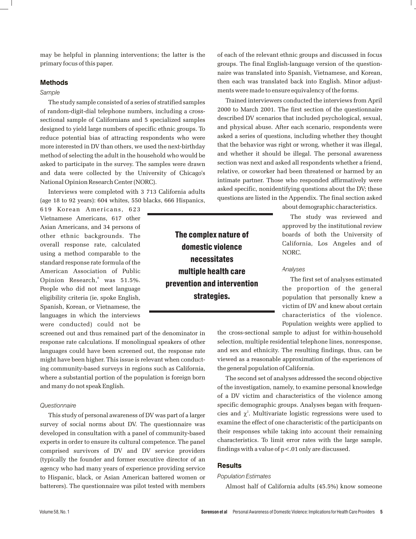may be helpful in planning interventions; the latter is the primary focus of this paper.

## **Methods**

### *Sample*

The study sample consisted of a series of stratified samples of random-digit-dial telephone numbers, including a crosssectional sample of Californians and 5 specialized samples designed to yield large numbers of specific ethnic groups. To reduce potential bias of attracting respondents who were more interested in DV than others, we used the next-birthday method of selecting the adult in the household who would be asked to participate in the survey. The samples were drawn and data were collected by the University of Chicago's National Opinion Research Center (NORC).

Interviews were completed with 3 713 California adults (age 18 to 92 years): 604 whites, 550 blacks, 666 Hispanics,

619 Korean Americans, 623 Vietnamese Americans, 617 other Asian Americans, and 34 persons of other ethnic backgrounds. The overall response rate, calculated using a method comparable to the standard response rate formula of the American Association of Public Opinion Research,<sup>8</sup> was 51.5%. People who did not meet language eligibility criteria (ie, spoke English, Spanish, Korean, or Vietnamese, the languages in which the interviews were conducted) could not be

screened out and thus remained part of the denominator in response rate calculations. If monolingual speakers of other languages could have been screened out, the response rate might have been higher. This issue is relevant when conducting community-based surveys in regions such as California, where a substantial portion of the population is foreign born and many do not speak English.

#### *Questionnaire*

This study of personal awareness of DV was part of a larger survey of social norms about DV. The questionnaire was developed in consultation with a panel of community-based experts in order to ensure its cultural competence. The panel comprised survivors of DV and DV service providers (typically the founder and former executive director of an agency who had many years of experience providing service to Hispanic, black, or Asian American battered women or batterers). The questionnaire was pilot tested with members

of each of the relevant ethnic groups and discussed in focus groups. The final English-language version of the questionnaire was translated into Spanish, Vietnamese, and Korean, then each was translated back into English. Minor adjustments were made to ensure equivalency of the forms.

Trained interviewers conducted the interviews from April 2000 to March 2001. The first section of the questionnaire described DV scenarios that included psychological, sexual, and physical abuse. After each scenario, respondents were asked a series of questions, including whether they thought that the behavior was right or wrong, whether it was illegal, and whether it should be illegal. The personal awareness section was next and asked all respondents whether a friend, relative, or coworker had been threatened or harmed by an intimate partner. Those who responded affirmatively were asked specific, nonidentifying questions about the DV; these questions are listed in the Appendix. The final section asked

about demographic characteristics.

The study was reviewed and approved by the institutional review boards of both the University of California, Los Angeles and of NORC.

### *Analyses*

The first set of analyses estimated the proportion of the general population that personally knew a victim of DV and knew about certain characteristics of the violence. Population weights were applied to

the cross-sectional sample to adjust for within-household selection, multiple residential telephone lines, nonresponse, and sex and ethnicity. The resulting findings, thus, can be viewed as a reasonable approximation of the experiences of the general population of California.

The second set of analyses addressed the second objective of the investigation, namely, to examine personal knowledge of a DV victim and characteristics of the violence among specific demographic groups. Analyses began with frequencies and  $\chi^2$ . Multivariate logistic regressions were used to examine the effect of one characteristic of the participants on their responses while taking into account their remaining characteristics. To limit error rates with the large sample, findings with a value of  $p<0.01$  only are discussed.

#### **Results**

#### *Population Estimates*

Almost half of California adults (45.5%) know someone

The complex nature of domestic violence necessitates multiple health care prevention and intervention strategies.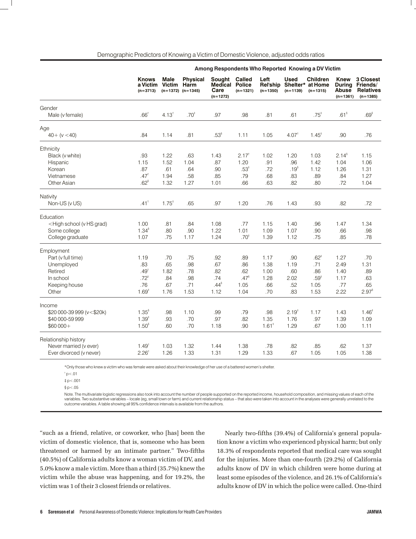|                                                                                                                                                                                   | Aniong nooponachto mno nopontoa        |                   |                                                  |                                         |                                       |                                       |                     |                                                   |                             |                                                                |
|-----------------------------------------------------------------------------------------------------------------------------------------------------------------------------------|----------------------------------------|-------------------|--------------------------------------------------|-----------------------------------------|---------------------------------------|---------------------------------------|---------------------|---------------------------------------------------|-----------------------------|----------------------------------------------------------------|
|                                                                                                                                                                                   | <b>Knows</b><br>a Victim<br>$(n=3713)$ | Male<br>Victim    | <b>Physical</b><br>Harm<br>$(n=1372)$ $(n=1345)$ | Sought<br>Medical<br>Care<br>$(n=1272)$ | Called<br><b>Police</b><br>$(n=1321)$ | Left<br><b>Rel'ship</b><br>$(n=1350)$ | Used<br>$(n=1139)$  | <b>Children</b><br>Shelter* at Home<br>$(n=1315)$ | Knew<br>Abuse<br>$(n=1361)$ | 3 Closest<br>During Friends/<br><b>Relatives</b><br>$(n=1385)$ |
| Gender<br>Male (v female)                                                                                                                                                         | $.66^{\dagger}$                        | 4.13 <sup>†</sup> | $.70+$                                           | .97                                     | .98                                   | .81                                   | .61                 | $.75$ <sup>*</sup>                                | .61 <sup>§</sup>            | .69 <sup>§</sup>                                               |
| Age                                                                                                                                                                               |                                        |                   |                                                  |                                         |                                       |                                       |                     |                                                   |                             |                                                                |
| $40 + (v < 40)$                                                                                                                                                                   | .84                                    | 1.14              | .81                                              | .53 <sup>§</sup>                        | 1.11                                  | 1.05                                  | $4.07$ <sup>t</sup> | $1.45^*$                                          | .90                         | .76                                                            |
| Ethnicity                                                                                                                                                                         |                                        |                   |                                                  |                                         |                                       |                                       |                     |                                                   |                             |                                                                |
| Black (v white)                                                                                                                                                                   | .93                                    | 1.22              | .63                                              | 1.43                                    | $2.17^{\dagger}$                      | 1.02                                  | 1.20                | 1.03                                              | $2.14^s$                    | 1.15                                                           |
| Hispanic                                                                                                                                                                          | 1.15                                   | 1.52              | 1.04                                             | .87                                     | 1.20                                  | .91                                   | .96                 | 1.42                                              | 1.04                        | 1.06                                                           |
| Korean                                                                                                                                                                            | .87                                    | .61               | .64                                              | .90                                     | $.53^{\circ}$                         | .72                                   | .19 <sup>§</sup>    | 1.12                                              | 1.26                        | 1.31                                                           |
| Vietnamese                                                                                                                                                                        |                                        |                   |                                                  |                                         |                                       |                                       |                     |                                                   |                             |                                                                |
|                                                                                                                                                                                   | .47 <sup>†</sup>                       | 1.94              | .58                                              | .85                                     | .79                                   | .68                                   | .83                 | .89                                               | .84                         | 1.27                                                           |
| Other Asian                                                                                                                                                                       | .62 <sup>6</sup>                       | 1.32              | 1.27                                             | 1.01                                    | .66                                   | .63                                   | .82                 | .80                                               | .72                         | 1.04                                                           |
| Nativity                                                                                                                                                                          |                                        |                   |                                                  |                                         |                                       |                                       |                     |                                                   |                             |                                                                |
| Non-US (vUS)                                                                                                                                                                      | .41 <sup>†</sup>                       | $1.75^{+}$        | .65                                              | .97                                     | 1.20                                  | .76                                   | 1.43                | .93                                               | .82                         | .72                                                            |
| Education                                                                                                                                                                         |                                        |                   |                                                  |                                         |                                       |                                       |                     |                                                   |                             |                                                                |
| <high (v="" grad)<="" hs="" school="" td=""><td>1.00</td><td>.81</td><td>.84</td><td>1.08</td><td>.77</td><td>1.15</td><td>1.40</td><td>.96</td><td>1.47</td><td>1.34</td></high> | 1.00                                   | .81               | .84                                              | 1.08                                    | .77                                   | 1.15                                  | 1.40                | .96                                               | 1.47                        | 1.34                                                           |
| Some college                                                                                                                                                                      | $1.34^s$                               | .80               | .90                                              | 1.22                                    | 1.01                                  | 1.09                                  | 1.07                | .90                                               | .66                         | .98                                                            |
| College graduate                                                                                                                                                                  | 1.07                                   | .75               | 1.17                                             | 1.24                                    | .70 <sup>‡</sup>                      | 1.39                                  | 1.12                | .75                                               | .85                         | .78                                                            |
|                                                                                                                                                                                   |                                        |                   |                                                  |                                         |                                       |                                       |                     |                                                   |                             |                                                                |
| Employment                                                                                                                                                                        |                                        |                   |                                                  |                                         |                                       |                                       |                     |                                                   |                             |                                                                |
| Part (v full time)                                                                                                                                                                | 1.19                                   | .70               | .75                                              | .92                                     | .89                                   | 1.17                                  | .90                 | $.62^{*}$                                         | 1.27                        | .70                                                            |
| Unemployed                                                                                                                                                                        | .83                                    | .65               | .98                                              | .67                                     | .86                                   | 1.38                                  | 1.19                | .71                                               | 2.49                        | 1.31                                                           |
| Retired                                                                                                                                                                           | $.49^{\dagger}$                        | 1.82              | .78                                              | .82                                     | .62                                   | 1.00                                  | .60                 | .86                                               | 1.40                        | .89                                                            |
| In school                                                                                                                                                                         | $.72^{*}$                              | .84               | .98                                              | .74                                     | .47 <sup>§</sup>                      | 1.28                                  | 2.02                | $.59*$                                            | 1.17                        | .63                                                            |
| Keeping house                                                                                                                                                                     | .76                                    | .67               | .71                                              | .44 <sup>§</sup>                        | 1.05                                  | .66                                   | .52                 | 1.05                                              | .77                         | .65                                                            |
| Other                                                                                                                                                                             | $1.69*$                                | 1.76              | 1.53                                             | 1.12                                    | 1.04                                  | .70                                   | .83                 | 1.53                                              | 2.22                        | 2.97                                                           |
|                                                                                                                                                                                   |                                        |                   |                                                  |                                         |                                       |                                       |                     |                                                   |                             |                                                                |
| Income                                                                                                                                                                            |                                        |                   |                                                  |                                         |                                       |                                       |                     |                                                   |                             |                                                                |
| \$20 000-39 999 (v<\$20k)                                                                                                                                                         | $1.35^{\frac{6}{3}}$                   | .98               | 1.10                                             | .99                                     | .79                                   | .98                                   | $2.19^{+}$          | 1.17                                              | 1.43                        | $1.46^{*}$                                                     |
| \$40 000-59 999                                                                                                                                                                   | $1.39^{*}$                             | .93               | .70                                              | .97                                     | .82                                   | 1.35                                  | 1.76                | .97                                               | 1.39                        | 1.09                                                           |
| $$60000+$                                                                                                                                                                         | $1.50^{\$}$                            | .60               | .70                                              | 1.18                                    | .90                                   | $1.61$ <sup>*</sup>                   | 1.29                | .67                                               | 1.00                        | 1.11                                                           |
| Relationship history                                                                                                                                                              |                                        |                   |                                                  |                                         |                                       |                                       |                     |                                                   |                             |                                                                |
| Never married (v ever)                                                                                                                                                            | $1.49^{\dagger}$                       | 1.03              | 1.32                                             | 1.44                                    | 1.38                                  | .78                                   | .82                 | .85                                               | .62                         | 1.37                                                           |
| Ever divorced (v never)                                                                                                                                                           | $2.26^{\dagger}$                       | 1.26              | 1.33                                             | 1.31                                    | 1.29                                  | 1.33                                  | .67                 | 1.05                                              | 1.05                        | 1.38                                                           |
|                                                                                                                                                                                   |                                        |                   |                                                  |                                         |                                       |                                       |                     |                                                   |                             |                                                                |

**Among Respondents Who Reported Knowing a DV Victim .**

\*Only those who knew a victim who was female were asked about their knowledge of her use of a battered women's shelter.

 $p<.01$ 

 $tp < .001$ 

 $$p < .05$ 

Note. The multivariate logistic regressions also took into account the number of people supported on the reported income, household composition, and missing values of each of the<br>variables. Two substantive variables – loca

"such as a friend, relative, or coworker, who [has] been the victim of domestic violence, that is, someone who has been threatened or harmed by an intimate partner." Two-fifths (40.5%) of California adults know a woman victim of DV, and 5.0% know a male victim. More than a third (35.7%) knew the victim while the abuse was happening, and for 19.2%, the victim was 1 of their 3 closest friends or relatives.

Nearly two-fifths (39.4%) of California's general population know a victim who experienced physical harm; but only 18.3% of respondents reported that medical care was sought for the injuries. More than one-fourth (29.2%) of California adults know of DV in which children were home during at least some episodes of the violence, and 26.1% of California's adults know of DV in which the police were called. One-third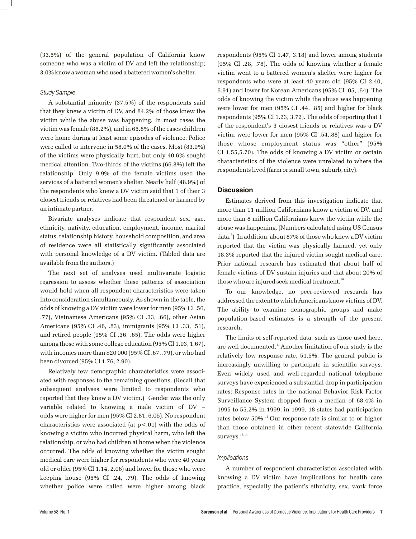(33.5%) of the general population of California know someone who was a victim of DV and left the relationship; 3.0% know a woman who used a battered women's shelter.

#### *Study Sample*

A substantial minority (37.5%) of the respondents said that they knew a victim of DV, and 84.2% of those knew the victim while the abuse was happening. In most cases the victim was female (88.2%), and in 65.8% of the cases children were home during at least some episodes of violence. Police were called to intervene in 58.0% of the cases. Most (83.9%) of the victims were physically hurt, but only 40.6% sought medical attention. Two-thirds of the victims (66.8%) left the relationship. Only 9.9% of the female victims used the services of a battered women's shelter. Nearly half (48.9%) of the respondents who knew a DV victim said that 1 of their 3 closest friends or relatives had been threatened or harmed by an intimate partner.

Bivariate analyses indicate that respondent sex, age, ethnicity, nativity, education, employment, income, marital status, relationship history, household composition, and area of residence were all statistically significantly associated with personal knowledge of a DV victim. (Tabled data are available from the authors.)

The next set of analyses used multivariate logistic regression to assess whether these patterns of association would hold when all respondent characteristics were taken into consideration simultaneously. As shown in the table, the odds of knowing a DV victim were lower for men (95% CI .56, .77), Vietnamese Americans (95% CI .33, .66), other Asian Americans (95% CI .46, .83), immigrants (95% CI .33, .51), and retired people (95% CI .36, .65). The odds were higher among those with some college education (95% CI 1.03, 1.67), with incomes more than \$20 000 (95% CI .67, .79), or who had been divorced (95% CI 1.76, 2.90).

Relatively few demographic characteristics were associated with responses to the remaining questions. (Recall that subsequent analyses were limited to respondents who reported that they knew a DV victim.) Gender was the only variable related to knowing a male victim of DV odds were higher for men (95% CI 2.81, 6.05). No respondent characteristics were associated (at p<.01) with the odds of knowing a victim who incurred physical harm, who left the relationship, or who had children at home when the violence occurred. The odds of knowing whether the victim sought medical care were higher for respondents who were 40 years old or older (95% CI 1.14, 2.06) and lower for those who were keeping house (95% CI .24, .79). The odds of knowing whether police were called were higher among black

respondents (95% CI 1.47, 3.18) and lower among students (95% CI .28, .78). The odds of knowing whether a female victim went to a battered women's shelter were higher for respondents who were at least 40 years old (95% CI 2.40, 6.91) and lower for Korean Americans (95% CI .05, .64). The odds of knowing the victim while the abuse was happening were lower for men (95% CI .44, .85) and higher for black respondents (95% CI 1.23, 3.72). The odds of reporting that 1 of the respondent's 3 closest friends or relatives was a DV victim were lower for men (95% CI .54,.88) and higher for those whose employment status was "other" (95% CI 1.55,5.70). The odds of knowing a DV victim or certain characteristics of the violence were unrelated to where the respondents lived (farm or small town, suburb, city).

#### **Discussion**

Estimates derived from this investigation indicate that more than 11 million Californians know a victim of DV, and more than 8 million Californians knew the victim while the abuse was happening. (Numbers calculated using US Census data.<sup>9</sup>) In addition, about 87% of those who knew a DV victim reported that the victim was physically harmed, yet only 18.3% reported that the injured victim sought medical care. Prior national research has estimated that about half of female victims of DV sustain injuries and that about 20% of those who are injured seek medical treatment. $^{\rm 10}$ 

To our knowledge, no peer-reviewed research has addressed the extent to which Americans know victims of DV. The ability to examine demographic groups and make population-based estimates is a strength of the present research.

The limits of self-reported data, such as those used here, are well documented.<sup>11</sup> Another limitation of our study is the relatively low response rate, 51.5%. The general public is increasingly unwilling to participate in scientific surveys. Even widely used and well-regarded national telephone surveys have experienced a substantial drop in participation rates: Response rates in the national Behavior Risk Factor Surveillance System dropped from a median of 68.4% in 1995 to 55.2% in 1999; in 1999, 18 states had participation rates below  $50\%$ .<sup>12</sup> Our response rate is similar to or higher than those obtained in other recent statewide California  $\mathrm{surveys.}^{^{13,14}}$ 

#### *Implications*

A number of respondent characteristics associated with knowing a DV victim have implications for health care practice, especially the patient's ethnicity, sex, work force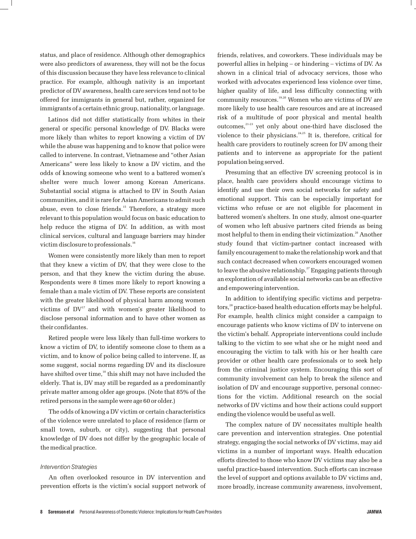status, and place of residence. Although other demographics were also predictors of awareness, they will not be the focus of this discussion because they have less relevance to clinical practice. For example, although nativity is an important predictor of DV awareness, health care services tend not to be offered for immigrants in general but, rather, organized for immigrants of a certain ethnic group, nationality, or language.

Latinos did not differ statistically from whites in their general or specific personal knowledge of DV. Blacks were more likely than whites to report knowing a victim of DV while the abuse was happening and to know that police were called to intervene. In contrast, Vietnamese and "other Asian Americans" were less likely to know a DV victim, and the odds of knowing someone who went to a battered women's shelter were much lower among Korean Americans. Substantial social stigma is attached to DV in South Asian communities, and it is rare for Asian Americans to admit such abuse, even to close friends.<sup>15</sup> Therefore, a strategy more relevant to this population would focus on basic education to help reduce the stigma of DV. In addition, as with most clinical services, cultural and language barriers may hinder victim disclosure to professionals. 16

Women were consistently more likely than men to report that they knew a victim of DV, that they were close to the person, and that they knew the victim during the abuse. Respondents were 8 times more likely to report knowing a female than a male victim of DV. These reports are consistent with the greater likelihood of physical harm among women victims of  $DV^{\prime\prime}$  and with women's greater likelihood to disclose personal information and to have other women as their confidantes.

Retired people were less likely than full-time workers to know a victim of DV, to identify someone close to them as a victim, and to know of police being called to intervene. If, as some suggest, social norms regarding DV and its disclosure have shifted over time, $^{\rm 18}$  this shift may not have included the elderly. That is, DV may still be regarded as a predominantly private matter among older age groups. (Note that 85% of the retired persons in the sample were age 60 or older.)

The odds of knowing a DV victim or certain characteristics of the violence were unrelated to place of residence (farm or small town, suburb, or city), suggesting that personal knowledge of DV does not differ by the geographic locale of the medical practice.

#### *Intervention Strategies*

An often overlooked resource in DV intervention and prevention efforts is the victim's social support network of

friends, relatives, and coworkers. These individuals may be powerful allies in helping – or hindering – victims of DV. As shown in a clinical trial of advocacy services, those who worked with advocates experienced less violence over time, higher quality of life, and less difficulty connecting with community resources. $19,20$  Women who are victims of DV are more likely to use health care resources and are at increased risk of a multitude of poor physical and mental health outcomes,<sup>21-23</sup> yet only about one-third have disclosed the violence to their physicians. $24,25$  It is, therefore, critical for health care providers to routinely screen for DV among their patients and to intervene as appropriate for the patient population being served.

Presuming that an effective DV screening protocol is in place, health care providers should encourage victims to identify and use their own social networks for safety and emotional support. This can be especially important for victims who refuse or are not eligible for placement in battered women's shelters. In one study, almost one-quarter of women who left abusive partners cited friends as being most helpful to them in ending their victimization.<sup>26</sup> Another study found that victim-partner contact increased with family encouragement to make the relationship work and that such contact decreased when coworkers encouraged women to leave the abusive relationship. $^{\scriptscriptstyle 27}$  Engaging patients through an exploration of available social networks can be an effective and empowering intervention.

In addition to identifying specific victims and perpetrators,<sup>28</sup> practice-based health education efforts may be helpful. For example, health clinics might consider a campaign to encourage patients who know victims of DV to intervene on the victim's behalf. Appropriate interventions could include talking to the victim to see what she or he might need and encouraging the victim to talk with his or her health care provider or other health care professionals or to seek help from the criminal justice system. Encouraging this sort of community involvement can help to break the silence and isolation of DV and encourage supportive, personal connections for the victim. Additional research on the social networks of DV victims and how their actions could support ending the violence would be useful as well.

The complex nature of DV necessitates multiple health care prevention and intervention strategies. One potential strategy, engaging the social networks of DV victims, may aid victims in a number of important ways. Health education efforts directed to those who know DV victims may also be a useful practice-based intervention. Such efforts can increase the level of support and options available to DV victims and, more broadly, increase community awareness, involvement,